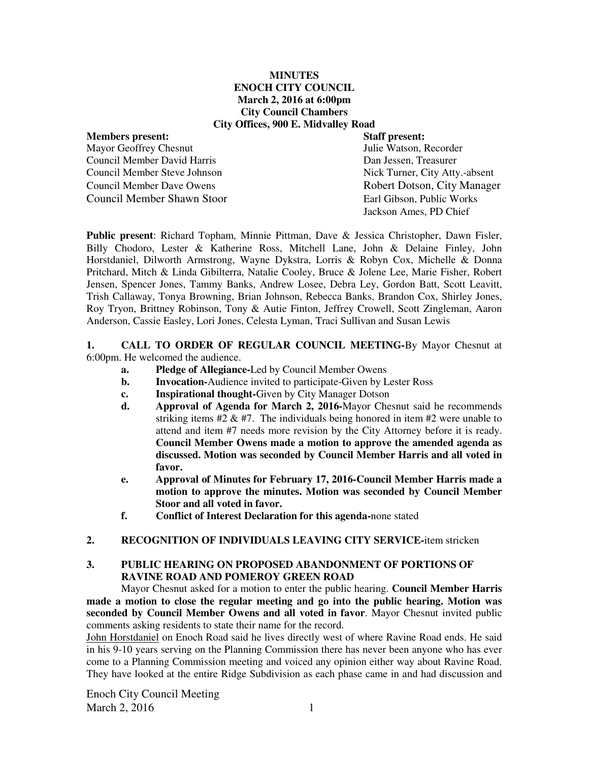### **MINUTES ENOCH CITY COUNCIL March 2, 2016 at 6:00pm City Council Chambers City Offices, 900 E. Midvalley Road**

Mayor Geoffrey Chesnut Council Member David Harris Dan Jessen, Treasurer Council Member Steve Johnson Nick Turner, City Atty.-absent Council Member Dave Owens **Robert Dotson, City Manager** Council Member Shawn Stoor Earl Gibson, Public Works

**Members present: Staff present:**  Jackson Ames, PD Chief

**Public present**: Richard Topham, Minnie Pittman, Dave & Jessica Christopher, Dawn Fisler, Billy Chodoro, Lester & Katherine Ross, Mitchell Lane, John & Delaine Finley, John Horstdaniel, Dilworth Armstrong, Wayne Dykstra, Lorris & Robyn Cox, Michelle & Donna Pritchard, Mitch & Linda Gibilterra, Natalie Cooley, Bruce & Jolene Lee, Marie Fisher, Robert Jensen, Spencer Jones, Tammy Banks, Andrew Losee, Debra Ley, Gordon Batt, Scott Leavitt, Trish Callaway, Tonya Browning, Brian Johnson, Rebecca Banks, Brandon Cox, Shirley Jones, Roy Tryon, Brittney Robinson, Tony & Autie Finton, Jeffrey Crowell, Scott Zingleman, Aaron Anderson, Cassie Easley, Lori Jones, Celesta Lyman, Traci Sullivan and Susan Lewis

#### **1. CALL TO ORDER OF REGULAR COUNCIL MEETING-**By Mayor Chesnut at 6:00pm. He welcomed the audience.

- **a. Pledge of Allegiance-**Led by Council Member Owens
- **b.** Invocation-Audience invited to participate-Given by Lester Ross
- **c. Inspirational thought-**Given by City Manager Dotson
- **d. Approval of Agenda for March 2, 2016-**Mayor Chesnut said he recommends striking items  $#2 \& #7$ . The individuals being honored in item  $#2$  were unable to attend and item #7 needs more revision by the City Attorney before it is ready. **Council Member Owens made a motion to approve the amended agenda as discussed. Motion was seconded by Council Member Harris and all voted in favor.**
- **e. Approval of Minutes for February 17, 2016-Council Member Harris made a motion to approve the minutes. Motion was seconded by Council Member Stoor and all voted in favor.**
- **f. Conflict of Interest Declaration for this agenda-**none stated
- **2. RECOGNITION OF INDIVIDUALS LEAVING CITY SERVICE-**item stricken

# **3. PUBLIC HEARING ON PROPOSED ABANDONMENT OF PORTIONS OF RAVINE ROAD AND POMEROY GREEN ROAD**

Mayor Chesnut asked for a motion to enter the public hearing. **Council Member Harris made a motion to close the regular meeting and go into the public hearing. Motion was seconded by Council Member Owens and all voted in favor**. Mayor Chesnut invited public comments asking residents to state their name for the record.

John Horstdaniel on Enoch Road said he lives directly west of where Ravine Road ends. He said in his 9-10 years serving on the Planning Commission there has never been anyone who has ever come to a Planning Commission meeting and voiced any opinion either way about Ravine Road. They have looked at the entire Ridge Subdivision as each phase came in and had discussion and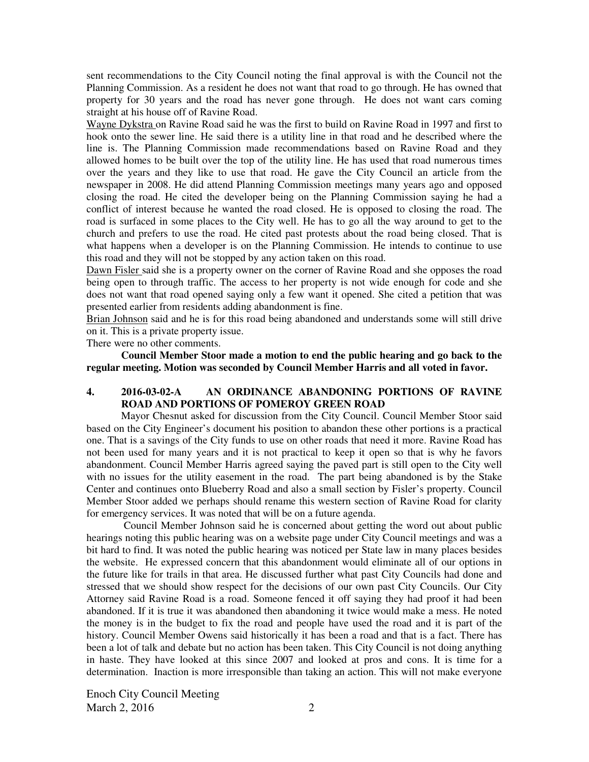sent recommendations to the City Council noting the final approval is with the Council not the Planning Commission. As a resident he does not want that road to go through. He has owned that property for 30 years and the road has never gone through. He does not want cars coming straight at his house off of Ravine Road.

Wayne Dykstra on Ravine Road said he was the first to build on Ravine Road in 1997 and first to hook onto the sewer line. He said there is a utility line in that road and he described where the line is. The Planning Commission made recommendations based on Ravine Road and they allowed homes to be built over the top of the utility line. He has used that road numerous times over the years and they like to use that road. He gave the City Council an article from the newspaper in 2008. He did attend Planning Commission meetings many years ago and opposed closing the road. He cited the developer being on the Planning Commission saying he had a conflict of interest because he wanted the road closed. He is opposed to closing the road. The road is surfaced in some places to the City well. He has to go all the way around to get to the church and prefers to use the road. He cited past protests about the road being closed. That is what happens when a developer is on the Planning Commission. He intends to continue to use this road and they will not be stopped by any action taken on this road.

Dawn Fisler said she is a property owner on the corner of Ravine Road and she opposes the road being open to through traffic. The access to her property is not wide enough for code and she does not want that road opened saying only a few want it opened. She cited a petition that was presented earlier from residents adding abandonment is fine.

Brian Johnson said and he is for this road being abandoned and understands some will still drive on it. This is a private property issue.

There were no other comments.

**Council Member Stoor made a motion to end the public hearing and go back to the regular meeting. Motion was seconded by Council Member Harris and all voted in favor.** 

# **4. 2016-03-02-A AN ORDINANCE ABANDONING PORTIONS OF RAVINE ROAD AND PORTIONS OF POMEROY GREEN ROAD**

Mayor Chesnut asked for discussion from the City Council. Council Member Stoor said based on the City Engineer's document his position to abandon these other portions is a practical one. That is a savings of the City funds to use on other roads that need it more. Ravine Road has not been used for many years and it is not practical to keep it open so that is why he favors abandonment. Council Member Harris agreed saying the paved part is still open to the City well with no issues for the utility easement in the road.The part being abandoned is by the Stake Center and continues onto Blueberry Road and also a small section by Fisler's property. Council Member Stoor added we perhaps should rename this western section of Ravine Road for clarity for emergency services. It was noted that will be on a future agenda.

Council Member Johnson said he is concerned about getting the word out about public hearings noting this public hearing was on a website page under City Council meetings and was a bit hard to find. It was noted the public hearing was noticed per State law in many places besides the website. He expressed concern that this abandonment would eliminate all of our options in the future like for trails in that area. He discussed further what past City Councils had done and stressed that we should show respect for the decisions of our own past City Councils. Our City Attorney said Ravine Road is a road. Someone fenced it off saying they had proof it had been abandoned. If it is true it was abandoned then abandoning it twice would make a mess. He noted the money is in the budget to fix the road and people have used the road and it is part of the history. Council Member Owens said historically it has been a road and that is a fact. There has been a lot of talk and debate but no action has been taken. This City Council is not doing anything in haste. They have looked at this since 2007 and looked at pros and cons. It is time for a determination. Inaction is more irresponsible than taking an action. This will not make everyone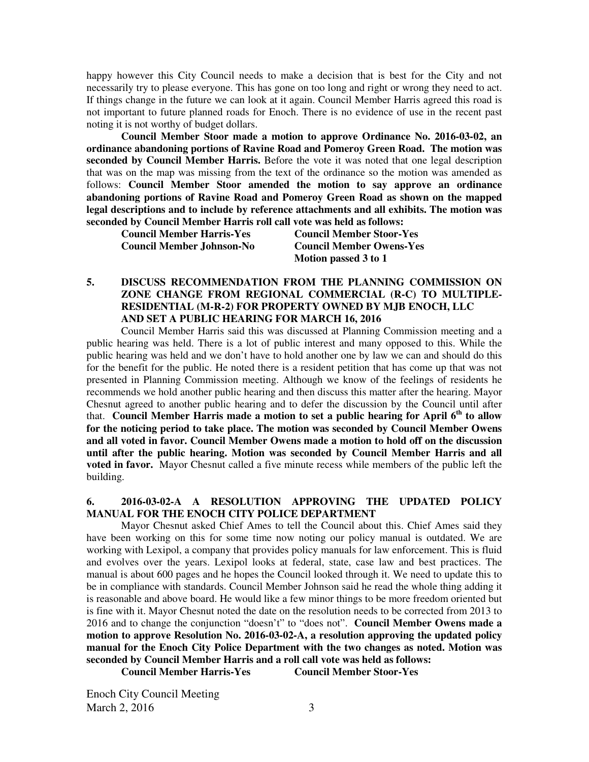happy however this City Council needs to make a decision that is best for the City and not necessarily try to please everyone. This has gone on too long and right or wrong they need to act. If things change in the future we can look at it again. Council Member Harris agreed this road is not important to future planned roads for Enoch. There is no evidence of use in the recent past noting it is not worthy of budget dollars.

**Council Member Stoor made a motion to approve Ordinance No. 2016-03-02, an ordinance abandoning portions of Ravine Road and Pomeroy Green Road. The motion was seconded by Council Member Harris.** Before the vote it was noted that one legal description that was on the map was missing from the text of the ordinance so the motion was amended as follows: **Council Member Stoor amended the motion to say approve an ordinance abandoning portions of Ravine Road and Pomeroy Green Road as shown on the mapped legal descriptions and to include by reference attachments and all exhibits. The motion was seconded by Council Member Harris roll call vote was held as follows:** 

 **Council Member Johnson-No Council Member Owens-Yes** 

**Council Member Harris-Yes Council Member Stoor-Yes Motion passed 3 to 1** 

**5. DISCUSS RECOMMENDATION FROM THE PLANNING COMMISSION ON ZONE CHANGE FROM REGIONAL COMMERCIAL (R-C) TO MULTIPLE-RESIDENTIAL (M-R-2) FOR PROPERTY OWNED BY MJB ENOCH, LLC AND SET A PUBLIC HEARING FOR MARCH 16, 2016** 

Council Member Harris said this was discussed at Planning Commission meeting and a public hearing was held. There is a lot of public interest and many opposed to this. While the public hearing was held and we don't have to hold another one by law we can and should do this for the benefit for the public. He noted there is a resident petition that has come up that was not presented in Planning Commission meeting. Although we know of the feelings of residents he recommends we hold another public hearing and then discuss this matter after the hearing. Mayor Chesnut agreed to another public hearing and to defer the discussion by the Council until after that. **Council Member Harris made a motion to set a public hearing for April 6th to allow for the noticing period to take place. The motion was seconded by Council Member Owens and all voted in favor. Council Member Owens made a motion to hold off on the discussion until after the public hearing. Motion was seconded by Council Member Harris and all voted in favor.** Mayor Chesnut called a five minute recess while members of the public left the building.

# **6. 2016-03-02-A A RESOLUTION APPROVING THE UPDATED POLICY MANUAL FOR THE ENOCH CITY POLICE DEPARTMENT**

Mayor Chesnut asked Chief Ames to tell the Council about this. Chief Ames said they have been working on this for some time now noting our policy manual is outdated. We are working with Lexipol, a company that provides policy manuals for law enforcement. This is fluid and evolves over the years. Lexipol looks at federal, state, case law and best practices. The manual is about 600 pages and he hopes the Council looked through it. We need to update this to be in compliance with standards. Council Member Johnson said he read the whole thing adding it is reasonable and above board. He would like a few minor things to be more freedom oriented but is fine with it. Mayor Chesnut noted the date on the resolution needs to be corrected from 2013 to 2016 and to change the conjunction "doesn't" to "does not". **Council Member Owens made a motion to approve Resolution No. 2016-03-02-A, a resolution approving the updated policy manual for the Enoch City Police Department with the two changes as noted. Motion was seconded by Council Member Harris and a roll call vote was held as follows:** 

**Council Member Harris-Yes Council Member Stoor-Yes**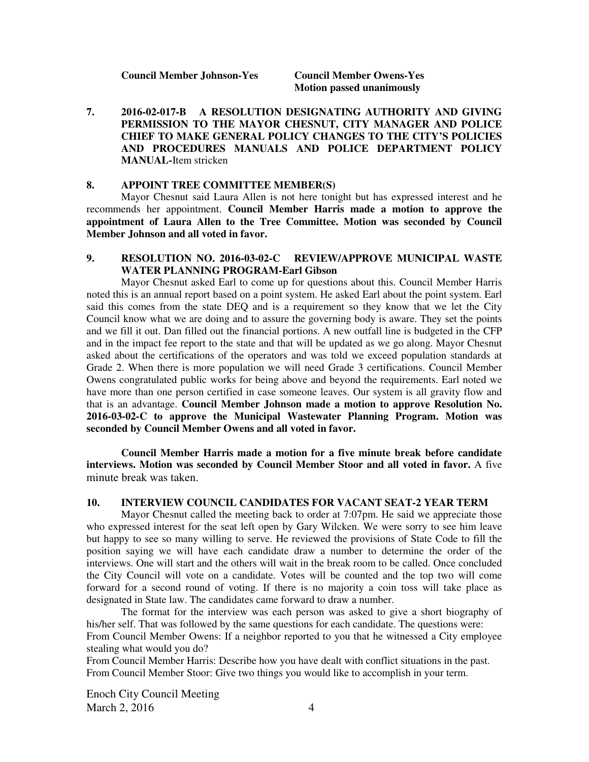**Motion passed unanimously** 

**7. 2016-02-017-B A RESOLUTION DESIGNATING AUTHORITY AND GIVING PERMISSION TO THE MAYOR CHESNUT, CITY MANAGER AND POLICE CHIEF TO MAKE GENERAL POLICY CHANGES TO THE CITY'S POLICIES AND PROCEDURES MANUALS AND POLICE DEPARTMENT POLICY MANUAL-**Item stricken

#### **8. APPOINT TREE COMMITTEE MEMBER(S)**

Mayor Chesnut said Laura Allen is not here tonight but has expressed interest and he recommends her appointment. **Council Member Harris made a motion to approve the appointment of Laura Allen to the Tree Committee. Motion was seconded by Council Member Johnson and all voted in favor.** 

# **9. RESOLUTION NO. 2016-03-02-C REVIEW/APPROVE MUNICIPAL WASTE WATER PLANNING PROGRAM-Earl Gibson**

Mayor Chesnut asked Earl to come up for questions about this. Council Member Harris noted this is an annual report based on a point system. He asked Earl about the point system. Earl said this comes from the state DEQ and is a requirement so they know that we let the City Council know what we are doing and to assure the governing body is aware. They set the points and we fill it out. Dan filled out the financial portions. A new outfall line is budgeted in the CFP and in the impact fee report to the state and that will be updated as we go along. Mayor Chesnut asked about the certifications of the operators and was told we exceed population standards at Grade 2. When there is more population we will need Grade 3 certifications. Council Member Owens congratulated public works for being above and beyond the requirements. Earl noted we have more than one person certified in case someone leaves. Our system is all gravity flow and that is an advantage. **Council Member Johnson made a motion to approve Resolution No. 2016-03-02-C to approve the Municipal Wastewater Planning Program. Motion was seconded by Council Member Owens and all voted in favor.** 

**Council Member Harris made a motion for a five minute break before candidate interviews. Motion was seconded by Council Member Stoor and all voted in favor.** A five minute break was taken.

#### **10. INTERVIEW COUNCIL CANDIDATES FOR VACANT SEAT-2 YEAR TERM**

Mayor Chesnut called the meeting back to order at 7:07pm. He said we appreciate those who expressed interest for the seat left open by Gary Wilcken. We were sorry to see him leave but happy to see so many willing to serve. He reviewed the provisions of State Code to fill the position saying we will have each candidate draw a number to determine the order of the interviews. One will start and the others will wait in the break room to be called. Once concluded the City Council will vote on a candidate. Votes will be counted and the top two will come forward for a second round of voting. If there is no majority a coin toss will take place as designated in State law. The candidates came forward to draw a number.

The format for the interview was each person was asked to give a short biography of his/her self. That was followed by the same questions for each candidate. The questions were: From Council Member Owens: If a neighbor reported to you that he witnessed a City employee stealing what would you do?

From Council Member Harris: Describe how you have dealt with conflict situations in the past. From Council Member Stoor: Give two things you would like to accomplish in your term.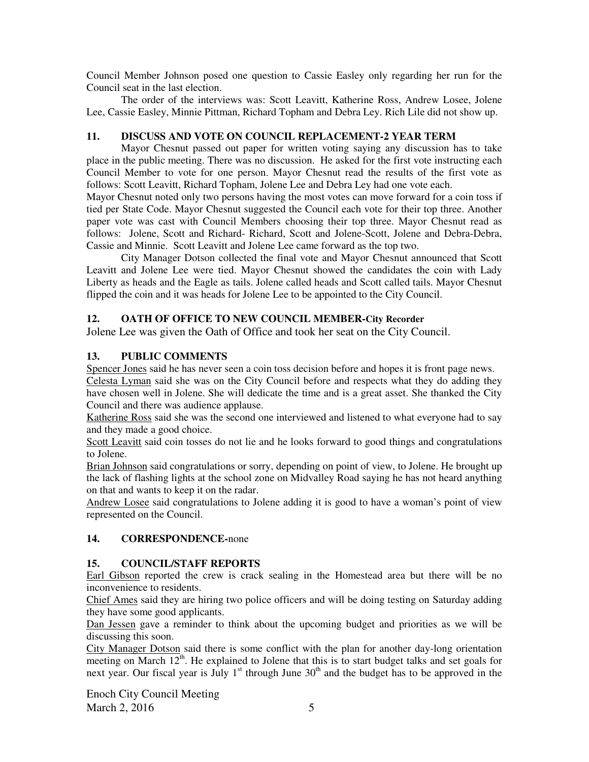Council Member Johnson posed one question to Cassie Easley only regarding her run for the Council seat in the last election.

The order of the interviews was: Scott Leavitt, Katherine Ross, Andrew Losee, Jolene Lee, Cassie Easley, Minnie Pittman, Richard Topham and Debra Ley. Rich Lile did not show up.

# **11. DISCUSS AND VOTE ON COUNCIL REPLACEMENT-2 YEAR TERM**

Mayor Chesnut passed out paper for written voting saying any discussion has to take place in the public meeting. There was no discussion. He asked for the first vote instructing each Council Member to vote for one person. Mayor Chesnut read the results of the first vote as follows: Scott Leavitt, Richard Topham, Jolene Lee and Debra Ley had one vote each.

Mayor Chesnut noted only two persons having the most votes can move forward for a coin toss if tied per State Code. Mayor Chesnut suggested the Council each vote for their top three. Another paper vote was cast with Council Members choosing their top three. Mayor Chesnut read as follows: Jolene, Scott and Richard- Richard, Scott and Jolene-Scott, Jolene and Debra-Debra, Cassie and Minnie. Scott Leavitt and Jolene Lee came forward as the top two.

City Manager Dotson collected the final vote and Mayor Chesnut announced that Scott Leavitt and Jolene Lee were tied. Mayor Chesnut showed the candidates the coin with Lady Liberty as heads and the Eagle as tails. Jolene called heads and Scott called tails. Mayor Chesnut flipped the coin and it was heads for Jolene Lee to be appointed to the City Council.

# **12. OATH OF OFFICE TO NEW COUNCIL MEMBER-City Recorder**

Jolene Lee was given the Oath of Office and took her seat on the City Council.

# **13. PUBLIC COMMENTS**

Spencer Jones said he has never seen a coin toss decision before and hopes it is front page news.

Celesta Lyman said she was on the City Council before and respects what they do adding they have chosen well in Jolene. She will dedicate the time and is a great asset. She thanked the City Council and there was audience applause.

Katherine Ross said she was the second one interviewed and listened to what everyone had to say and they made a good choice.

Scott Leavitt said coin tosses do not lie and he looks forward to good things and congratulations to Jolene.

Brian Johnson said congratulations or sorry, depending on point of view, to Jolene. He brought up the lack of flashing lights at the school zone on Midvalley Road saying he has not heard anything on that and wants to keep it on the radar.

Andrew Losee said congratulations to Jolene adding it is good to have a woman's point of view represented on the Council.

# **14. CORRESPONDENCE-**none

# **15. COUNCIL/STAFF REPORTS**

Earl Gibson reported the crew is crack sealing in the Homestead area but there will be no inconvenience to residents.

Chief Ames said they are hiring two police officers and will be doing testing on Saturday adding they have some good applicants.

Dan Jessen gave a reminder to think about the upcoming budget and priorities as we will be discussing this soon.

City Manager Dotson said there is some conflict with the plan for another day-long orientation meeting on March  $12<sup>th</sup>$ . He explained to Jolene that this is to start budget talks and set goals for next year. Our fiscal year is July 1<sup>st</sup> through June  $30<sup>th</sup>$  and the budget has to be approved in the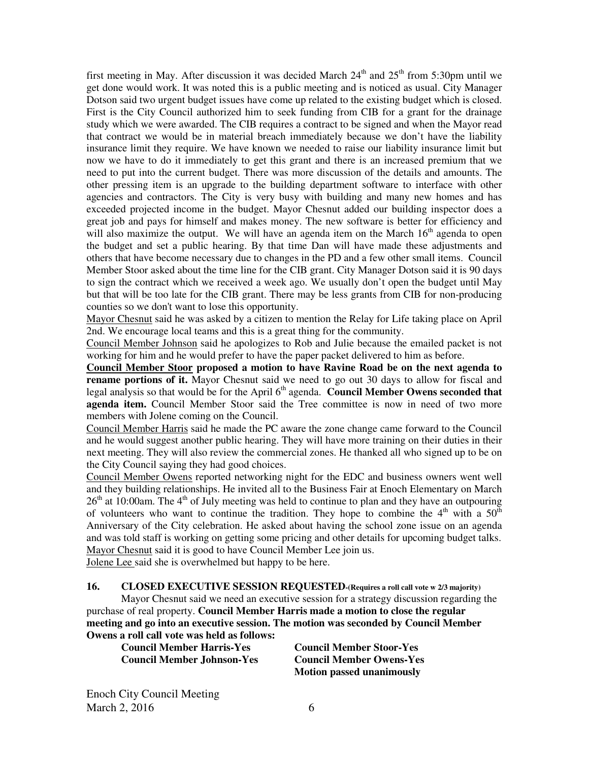first meeting in May. After discussion it was decided March  $24<sup>th</sup>$  and  $25<sup>th</sup>$  from 5:30pm until we get done would work. It was noted this is a public meeting and is noticed as usual. City Manager Dotson said two urgent budget issues have come up related to the existing budget which is closed. First is the City Council authorized him to seek funding from CIB for a grant for the drainage study which we were awarded. The CIB requires a contract to be signed and when the Mayor read that contract we would be in material breach immediately because we don't have the liability insurance limit they require. We have known we needed to raise our liability insurance limit but now we have to do it immediately to get this grant and there is an increased premium that we need to put into the current budget. There was more discussion of the details and amounts. The other pressing item is an upgrade to the building department software to interface with other agencies and contractors. The City is very busy with building and many new homes and has exceeded projected income in the budget. Mayor Chesnut added our building inspector does a great job and pays for himself and makes money. The new software is better for efficiency and will also maximize the output. We will have an agenda item on the March  $16<sup>th</sup>$  agenda to open the budget and set a public hearing. By that time Dan will have made these adjustments and others that have become necessary due to changes in the PD and a few other small items. Council Member Stoor asked about the time line for the CIB grant. City Manager Dotson said it is 90 days to sign the contract which we received a week ago. We usually don't open the budget until May but that will be too late for the CIB grant. There may be less grants from CIB for non-producing counties so we don't want to lose this opportunity.

Mayor Chesnut said he was asked by a citizen to mention the Relay for Life taking place on April 2nd. We encourage local teams and this is a great thing for the community.

Council Member Johnson said he apologizes to Rob and Julie because the emailed packet is not working for him and he would prefer to have the paper packet delivered to him as before.

**Council Member Stoor proposed a motion to have Ravine Road be on the next agenda to rename portions of it.** Mayor Chesnut said we need to go out 30 days to allow for fiscal and legal analysis so that would be for the April 6<sup>th</sup> agenda. **Council Member Owens seconded that agenda item.** Council Member Stoor said the Tree committee is now in need of two more members with Jolene coming on the Council.

Council Member Harris said he made the PC aware the zone change came forward to the Council and he would suggest another public hearing. They will have more training on their duties in their next meeting. They will also review the commercial zones. He thanked all who signed up to be on the City Council saying they had good choices.

Council Member Owens reported networking night for the EDC and business owners went well and they building relationships. He invited all to the Business Fair at Enoch Elementary on March  $26<sup>th</sup>$  at 10:00am. The 4<sup>th</sup> of July meeting was held to continue to plan and they have an outpouring of volunteers who want to continue the tradition. They hope to combine the  $4<sup>th</sup>$  with a  $50<sup>th</sup>$ Anniversary of the City celebration. He asked about having the school zone issue on an agenda and was told staff is working on getting some pricing and other details for upcoming budget talks. Mayor Chesnut said it is good to have Council Member Lee join us.

Jolene Lee said she is overwhelmed but happy to be here.

**16. CLOSED EXECUTIVE SESSION REQUESTED-(Requires a roll call vote w 2/3 majority)**  Mayor Chesnut said we need an executive session for a strategy discussion regarding the purchase of real property. **Council Member Harris made a motion to close the regular meeting and go into an executive session. The motion was seconded by Council Member Owens a roll call vote was held as follows:** 

**Council Member Harris-Yes Council Member Stoor-Yes Council Member Johnson-Yes Council Member Owens-Yes** 

 **Motion passed unanimously**